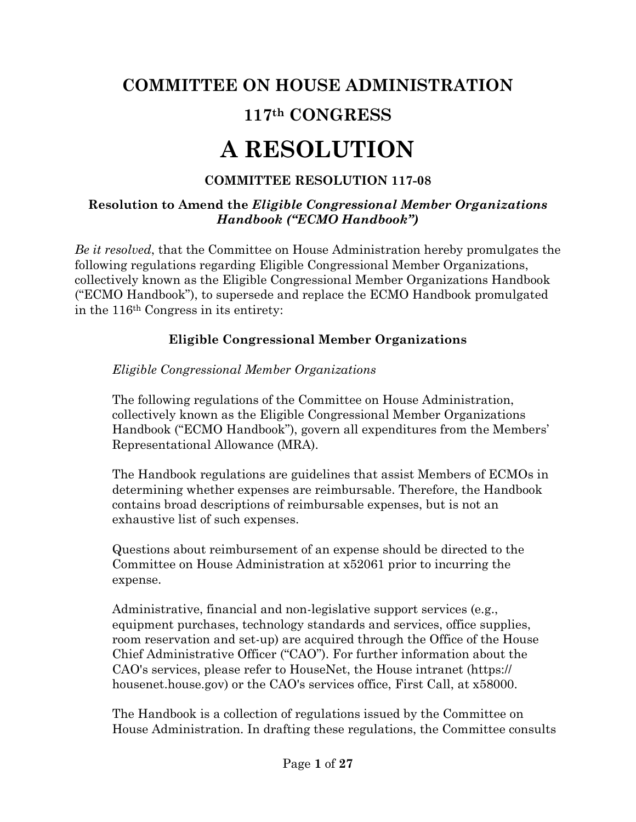# **COMMITTEE ON HOUSE ADMINISTRATION**

# **117th CONGRESS**

# **A RESOLUTION**

# **COMMITTEE RESOLUTION 117-08**

#### **Resolution to Amend the** *Eligible Congressional Member Organizations Handbook ("ECMO Handbook")*

*Be it resolved*, that the Committee on House Administration hereby promulgates the following regulations regarding Eligible Congressional Member Organizations, collectively known as the Eligible Congressional Member Organizations Handbook ("ECMO Handbook"), to supersede and replace the ECMO Handbook promulgated in the 116th Congress in its entirety:

# **Eligible Congressional Member Organizations**

#### *Eligible Congressional Member Organizations*

The following regulations of the Committee on House Administration, collectively known as the Eligible Congressional Member Organizations Handbook ("ECMO Handbook"), govern all expenditures from the Members' Representational Allowance (MRA).

The Handbook regulations are guidelines that assist Members of ECMOs in determining whether expenses are reimbursable. Therefore, the Handbook contains broad descriptions of reimbursable expenses, but is not an exhaustive list of such expenses.

Questions about reimbursement of an expense should be directed to the Committee on House Administration at x52061 prior to incurring the expense.

Administrative, financial and non-legislative support services (e.g., equipment purchases, technology standards and services, office supplies, room reservation and set-up) are acquired through the Office of the House Chief Administrative Officer ("CAO"). For further information about the CAO's services, please refer to HouseNet, the House intranet (https:// housenet.house.gov) or the CAO's services office, First Call, at  $x58000$ .

The Handbook is a collection of regulations issued by the Committee on House Administration. In drafting these regulations, the Committee consults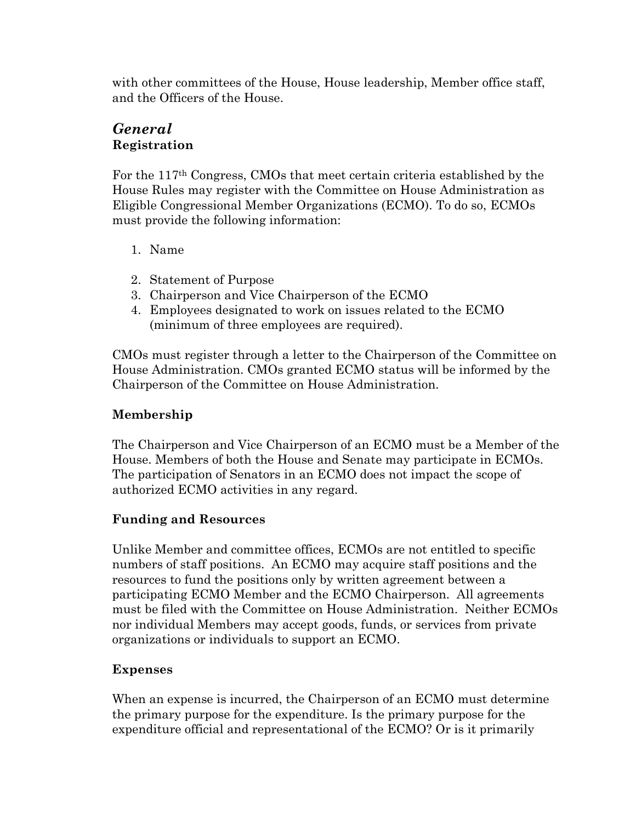with other committees of the House, House leadership, Member office staff, and the Officers of the House.

# *General*  **Registration**

For the 117th Congress, CMOs that meet certain criteria established by the House Rules may register with the Committee on House Administration as Eligible Congressional Member Organizations (ECMO). To do so, ECMOs must provide the following information:

- 1. Name
- 2. Statement of Purpose
- 3. Chairperson and Vice Chairperson of the ECMO
- 4. Employees designated to work on issues related to the ECMO (minimum of three employees are required).

CMOs must register through a letter to the Chairperson of the Committee on House Administration. CMOs granted ECMO status will be informed by the Chairperson of the Committee on House Administration.

# **Membership**

The Chairperson and Vice Chairperson of an ECMO must be a Member of the House. Members of both the House and Senate may participate in ECMOs. The participation of Senators in an ECMO does not impact the scope of authorized ECMO activities in any regard.

# **Funding and Resources**

Unlike Member and committee offices, ECMOs are not entitled to specific numbers of staff positions. An ECMO may acquire staff positions and the resources to fund the positions only by written agreement between a participating ECMO Member and the ECMO Chairperson. All agreements must be filed with the Committee on House Administration. Neither ECMOs nor individual Members may accept goods, funds, or services from private organizations or individuals to support an ECMO.

# **Expenses**

When an expense is incurred, the Chairperson of an ECMO must determine the primary purpose for the expenditure. Is the primary purpose for the expenditure official and representational of the ECMO? Or is it primarily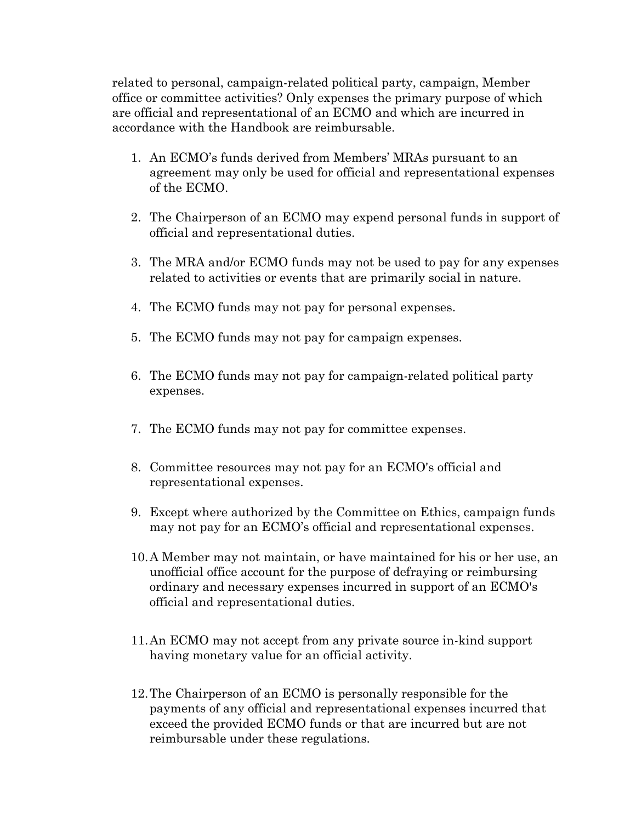related to personal, campaign-related political party, campaign, Member office or committee activities? Only expenses the primary purpose of which are official and representational of an ECMO and which are incurred in accordance with the Handbook are reimbursable.

- 1. An ECMO's funds derived from Members' MRAs pursuant to an agreement may only be used for official and representational expenses of the ECMO.
- 2. The Chairperson of an ECMO may expend personal funds in support of official and representational duties.
- 3. The MRA and/or ECMO funds may not be used to pay for any expenses related to activities or events that are primarily social in nature.
- 4. The ECMO funds may not pay for personal expenses.
- 5. The ECMO funds may not pay for campaign expenses.
- 6. The ECMO funds may not pay for campaign-related political party expenses.
- 7. The ECMO funds may not pay for committee expenses.
- 8. Committee resources may not pay for an ECMO's official and representational expenses.
- 9. Except where authorized by the Committee on Ethics, campaign funds may not pay for an ECMO's official and representational expenses.
- 10.A Member may not maintain, or have maintained for his or her use, an unofficial office account for the purpose of defraying or reimbursing ordinary and necessary expenses incurred in support of an ECMO's official and representational duties.
- 11.An ECMO may not accept from any private source in-kind support having monetary value for an official activity.
- 12.The Chairperson of an ECMO is personally responsible for the payments of any official and representational expenses incurred that exceed the provided ECMO funds or that are incurred but are not reimbursable under these regulations.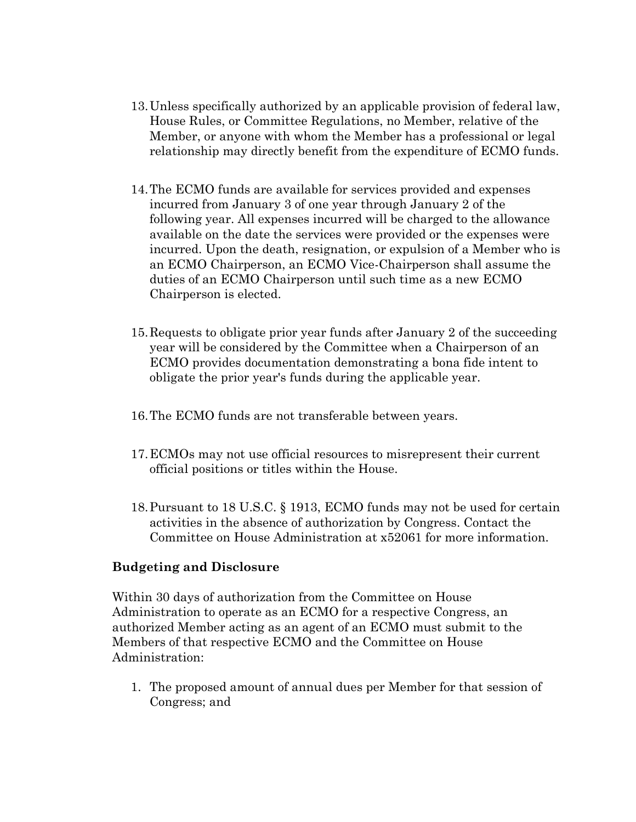- 13.Unless specifically authorized by an applicable provision of federal law, House Rules, or Committee Regulations, no Member, relative of the Member, or anyone with whom the Member has a professional or legal relationship may directly benefit from the expenditure of ECMO funds.
- 14.The ECMO funds are available for services provided and expenses incurred from January 3 of one year through January 2 of the following year. All expenses incurred will be charged to the allowance available on the date the services were provided or the expenses were incurred. Upon the death, resignation, or expulsion of a Member who is an ECMO Chairperson, an ECMO Vice-Chairperson shall assume the duties of an ECMO Chairperson until such time as a new ECMO Chairperson is elected.
- 15.Requests to obligate prior year funds after January 2 of the succeeding year will be considered by the Committee when a Chairperson of an ECMO provides documentation demonstrating a bona fide intent to obligate the prior year's funds during the applicable year.
- 16.The ECMO funds are not transferable between years.
- 17.ECMOs may not use official resources to misrepresent their current official positions or titles within the House.
- 18.Pursuant to 18 U.S.C. § 1913, ECMO funds may not be used for certain activities in the absence of authorization by Congress. Contact the Committee on House Administration at x52061 for more information.

#### **Budgeting and Disclosure**

Within 30 days of authorization from the Committee on House Administration to operate as an ECMO for a respective Congress, an authorized Member acting as an agent of an ECMO must submit to the Members of that respective ECMO and the Committee on House Administration:

1. The proposed amount of annual dues per Member for that session of Congress; and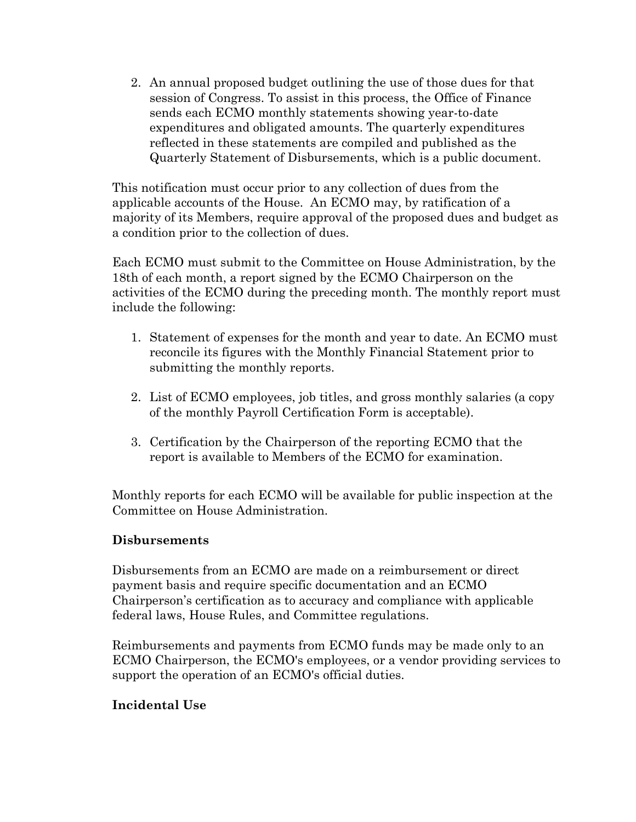2. An annual proposed budget outlining the use of those dues for that session of Congress. To assist in this process, the Office of Finance sends each ECMO monthly statements showing year-to-date expenditures and obligated amounts. The quarterly expenditures reflected in these statements are compiled and published as the Quarterly Statement of Disbursements, which is a public document.

This notification must occur prior to any collection of dues from the applicable accounts of the House. An ECMO may, by ratification of a majority of its Members, require approval of the proposed dues and budget as a condition prior to the collection of dues.

Each ECMO must submit to the Committee on House Administration, by the 18th of each month, a report signed by the ECMO Chairperson on the activities of the ECMO during the preceding month. The monthly report must include the following:

- 1. Statement of expenses for the month and year to date. An ECMO must reconcile its figures with the Monthly Financial Statement prior to submitting the monthly reports.
- 2. List of ECMO employees, job titles, and gross monthly salaries (a copy of the monthly Payroll Certification Form is acceptable).
- 3. Certification by the Chairperson of the reporting ECMO that the report is available to Members of the ECMO for examination.

Monthly reports for each ECMO will be available for public inspection at the Committee on House Administration[.](http://cha.house.gov/handbooks/members-congressional-handbook#top)

#### **Disbursements**

Disbursements from an ECMO are made on a reimbursement or direct payment basis and require specific documentation and an ECMO Chairperson's certification as to accuracy and compliance with applicable federal laws, House Rules, and Committee regulations.

Reimbursements and payments from ECMO funds may be made only to an ECMO Chairperson, the ECMO's employees, or a vendor providing services to support the operation of an ECMO's official duties.

#### **Incidental Use**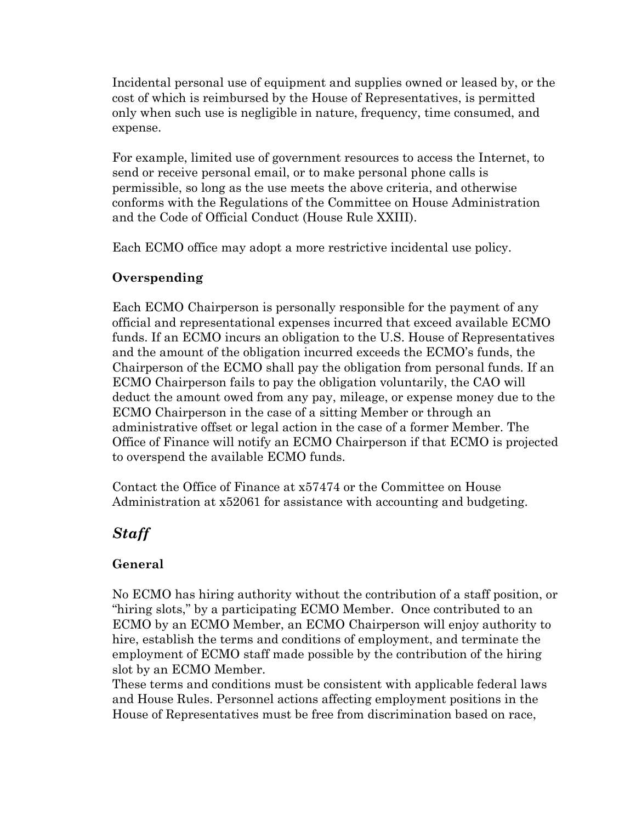Incidental personal use of equipment and supplies owned or leased by, or the cost of which is reimbursed by the House of Representatives, is permitted only when such use is negligible in nature, frequency, time consumed, and expense.

For example, limited use of government resources to access the Internet, to send or receive personal email, or to make personal phone calls is permissible, so long as the use meets the above criteria, and otherwise conforms with the Regulations of the Committee on House Administration and the Code of Official Conduct (House Rule XXIII).

Each ECMO office may adopt a more restrictive incidental use policy.

#### **Overspending**

Each ECMO Chairperson is personally responsible for the payment of any official and representational expenses incurred that exceed available ECMO funds. If an ECMO incurs an obligation to the U.S. House of Representatives and the amount of the obligation incurred exceeds the ECMO's funds, the Chairperson of the ECMO shall pay the obligation from personal funds. If an ECMO Chairperson fails to pay the obligation voluntarily, the CAO will deduct the amount owed from any pay, mileage, or expense money due to the ECMO Chairperson in the case of a sitting Member or through an administrative offset or legal action in the case of a former Member. The Office of Finance will notify an ECMO Chairperson if that ECMO is projected to overspend the available ECMO funds.

Contact the Office of Finance at x57474 or the Committee on House Administration at x52061 for assistance with accounting and budgeting.

# *Staff*

# **General**

No ECMO has hiring authority without the contribution of a staff position, or "hiring slots," by a participating ECMO Member. Once contributed to an ECMO by an ECMO Member, an ECMO Chairperson will enjoy authority to hire, establish the terms and conditions of employment, and terminate the employment of ECMO staff made possible by the contribution of the hiring slot by an ECMO Member.

These terms and conditions must be consistent with applicable federal laws and House Rules. Personnel actions affecting employment positions in the House of Representatives must be free from discrimination based on race,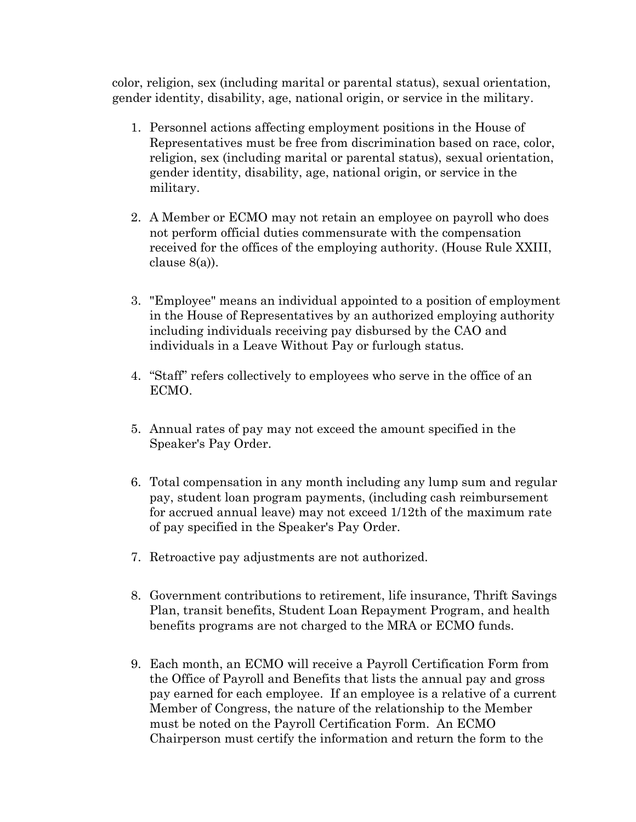color, religion, sex (including marital or parental status), sexual orientation, gender identity, disability, age, national origin, or service in the military.

- 1. Personnel actions affecting employment positions in the House of Representatives must be free from discrimination based on race, color, religion, sex (including marital or parental status), sexual orientation, gender identity, disability, age, national origin, or service in the military.
- 2. A Member or ECMO may not retain an employee on payroll who does not perform official duties commensurate with the compensation received for the offices of the employing authority. (House Rule XXIII, clause 8(a)).
- 3. "Employee" means an individual appointed to a position of employment in the House of Representatives by an authorized employing authority including individuals receiving pay disbursed by the CAO and individuals in a Leave Without Pay or furlough status.
- 4. "Staff" refers collectively to employees who serve in the office of an ECMO.
- 5. Annual rates of pay may not exceed the amount specified in the Speaker's Pay Order.
- 6. Total compensation in any month including any lump sum and regular pay, student loan program payments, (including cash reimbursement for accrued annual leave) may not exceed 1/12th of the maximum rate of pay specified in the Speaker's Pay Order.
- 7. Retroactive pay adjustments are not authorized.
- 8. Government contributions to retirement, life insurance, Thrift Savings Plan, transit benefits, Student Loan Repayment Program, and health benefits programs are not charged to the MRA or ECMO funds.
- 9. Each month, an ECMO will receive a Payroll Certification Form from the Office of Payroll and Benefits that lists the annual pay and gross pay earned for each employee. If an employee is a relative of a current Member of Congress, the nature of the relationship to the Member must be noted on the Payroll Certification Form. An ECMO Chairperson must certify the information and return the form to the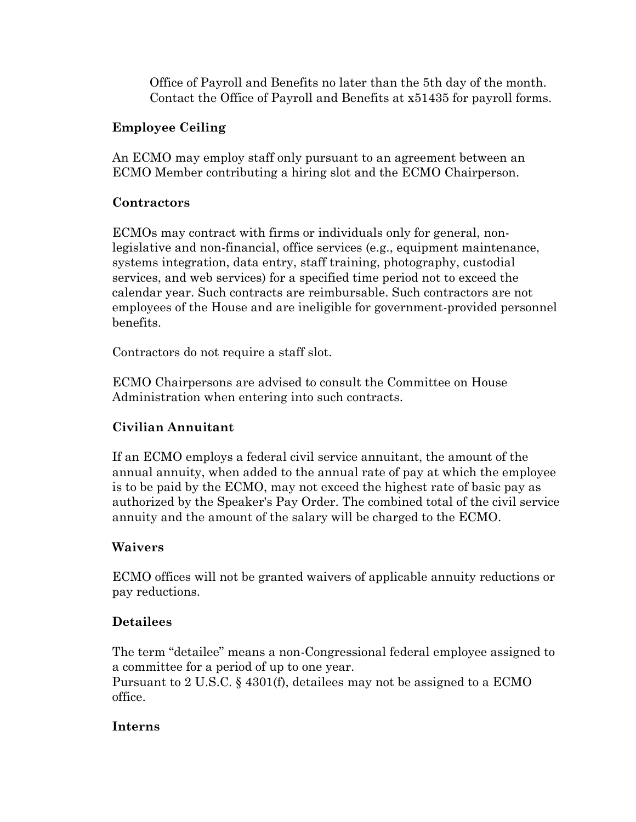Office of Payroll and Benefits no later than the 5th day of the month. Contact the Office of Payroll and Benefits at x51435 for payroll forms.

#### **Employee Ceiling**

An ECMO may employ staff only pursuant to an agreement between an ECMO Member contributing a hiring slot and the ECMO Chairperson.

#### **Contractors**

ECMOs may contract with firms or individuals only for general, nonlegislative and non-financial, office services (e.g., equipment maintenance, systems integration, data entry, staff training, photography, custodial services, and web services) for a specified time period not to exceed the calendar year. Such contracts are reimbursable. Such contractors are not employees of the House and are ineligible for government-provided personnel benefits.

Contractors do not require a staff slot.

ECMO Chairpersons are advised to consult the Committee on House Administration when entering into such contracts.

# **Civilian Annuitant**

If an ECMO employs a federal civil service annuitant, the amount of the annual annuity, when added to the annual rate of pay at which the employee is to be paid by the ECMO, may not exceed the highest rate of basic pay as authorized by the Speaker's Pay Order. The combined total of the civil service annuity and the amount of the salary will be charged to the ECMO.

# **Waivers**

ECMO offices will not be granted waivers of applicable annuity reductions or pay reductions.

# **Detailees**

The term "detailee" means a non-Congressional federal employee assigned to a committee for a period of up to one year.

Pursuant to 2 U.S.C. § 4301(f), detailees may not be assigned to a ECMO office.

#### **Interns**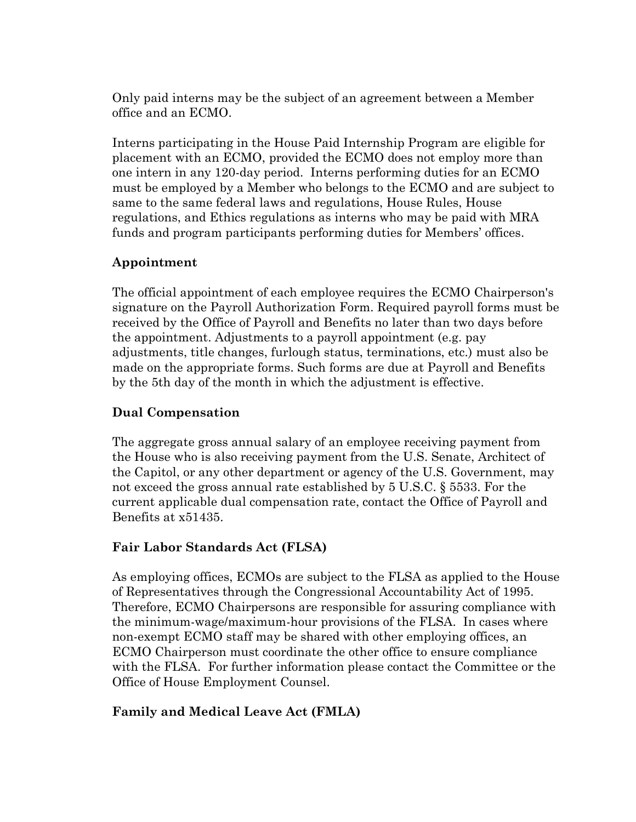Only paid interns may be the subject of an agreement between a Member office and an ECMO.

Interns participating in the House Paid Internship Program are eligible for placement with an ECMO, provided the ECMO does not employ more than one intern in any 120-day period. Interns performing duties for an ECMO must be employed by a Member who belongs to the ECMO and are subject to same to the same federal laws and regulations, House Rules, House regulations, and Ethics regulations as interns who may be paid with MRA funds and program participants performing duties for Members' offices.

#### **Appointment**

The official appointment of each employee requires the ECMO Chairperson's signature on the Payroll Authorization Form. Required payroll forms must be received by the Office of Payroll and Benefits no later than two days before the appointment. Adjustments to a payroll appointment (e.g. pay adjustments, title changes, furlough status, terminations, etc.) must also be made on the appropriate forms. Such forms are due at Payroll and Benefits by the 5th day of the month in which the adjustment is effective.

#### **Dual Compensation**

The aggregate gross annual salary of an employee receiving payment from the House who is also receiving payment from the U.S. Senate, Architect of the Capitol, or any other department or agency of the U.S. Government, may not exceed the gross annual rate established by 5 U.S.C. § 5533. For the current applicable dual compensation rate, contact the Office of Payroll and Benefits at x51435.

#### **Fair Labor Standards Act (FLSA)**

As employing offices, ECMOs are subject to the FLSA as applied to the House of Representatives through the Congressional Accountability Act of 1995. Therefore, ECMO Chairpersons are responsible for assuring compliance with the minimum-wage/maximum-hour provisions of the FLSA. In cases where non-exempt ECMO staff may be shared with other employing offices, an ECMO Chairperson must coordinate the other office to ensure compliance with the FLSA. For further information please contact the Committee or the Office of House Employment Counsel.

#### **Family and Medical Leave Act (FMLA)**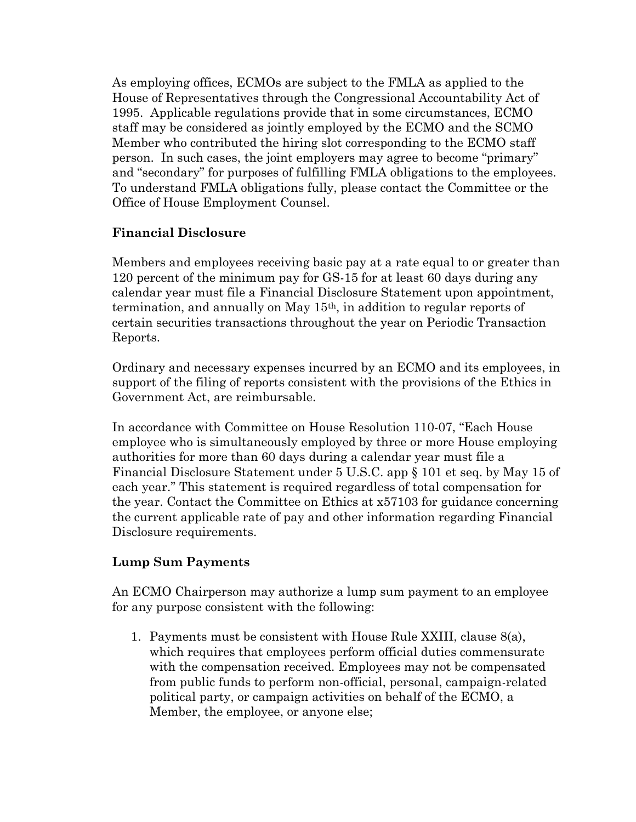As employing offices, ECMOs are subject to the FMLA as applied to the House of Representatives through the Congressional Accountability Act of 1995. Applicable regulations provide that in some circumstances, ECMO staff may be considered as jointly employed by the ECMO and the SCMO Member who contributed the hiring slot corresponding to the ECMO staff person. In such cases, the joint employers may agree to become "primary" and "secondary" for purposes of fulfilling FMLA obligations to the employees. To understand FMLA obligations fully, please contact the Committee or the Office of House Employment Counsel.

#### **Financial Disclosure**

Members and employees receiving basic pay at a rate equal to or greater than 120 percent of the minimum pay for GS-15 for at least 60 days during any calendar year must file a Financial Disclosure Statement upon appointment, termination, and annually on May 15th, in addition to regular reports of certain securities transactions throughout the year on Periodic Transaction Reports.

Ordinary and necessary expenses incurred by an ECMO and its employees, in support of the filing of reports consistent with the provisions of the Ethics in Government Act, are reimbursable.

In accordance with Committee on House Resolution 110-07, "Each House employee who is simultaneously employed by three or more House employing authorities for more than 60 days during a calendar year must file a Financial Disclosure Statement under 5 U.S.C. app § 101 et seq. by May 15 of each year." This statement is required regardless of total compensation for the year. Contact the Committee on Ethics at x57103 for guidance concerning the current applicable rate of pay and other information regarding Financial Disclosure requirements.

#### **Lump Sum Payments**

An ECMO Chairperson may authorize a lump sum payment to an employee for any purpose consistent with the following:

1. Payments must be consistent with House Rule XXIII, clause 8(a), which requires that employees perform official duties commensurate with the compensation received. Employees may not be compensated from public funds to perform non-official, personal, campaign-related political party, or campaign activities on behalf of the ECMO, a Member, the employee, or anyone else;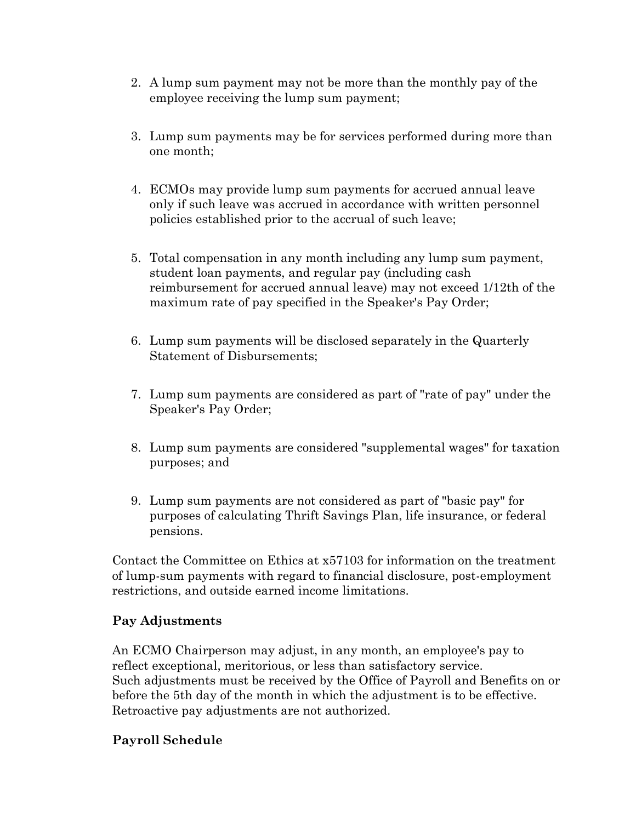- 2. A lump sum payment may not be more than the monthly pay of the employee receiving the lump sum payment;
- 3. Lump sum payments may be for services performed during more than one month;
- 4. ECMOs may provide lump sum payments for accrued annual leave only if such leave was accrued in accordance with written personnel policies established prior to the accrual of such leave;
- 5. Total compensation in any month including any lump sum payment, student loan payments, and regular pay (including cash reimbursement for accrued annual leave) may not exceed 1/12th of the maximum rate of pay specified in the Speaker's Pay Order;
- 6. Lump sum payments will be disclosed separately in the Quarterly Statement of Disbursements;
- 7. Lump sum payments are considered as part of "rate of pay" under the Speaker's Pay Order;
- 8. Lump sum payments are considered "supplemental wages" for taxation purposes; and
- 9. Lump sum payments are not considered as part of "basic pay" for purposes of calculating Thrift Savings Plan, life insurance, or federal pensions.

Contact the Committee on Ethics at x57103 for information on the treatment of lump-sum payments with regard to financial disclosure, post-employment restrictions, and outside earned income limitations.

#### **Pay Adjustments**

An ECMO Chairperson may adjust, in any month, an employee's pay to reflect exceptional, meritorious, or less than satisfactory service. Such adjustments must be received by the Office of Payroll and Benefits on or before the 5th day of the month in which the adjustment is to be effective. Retroactive pay adjustments are not authorized.

#### **Payroll Schedule**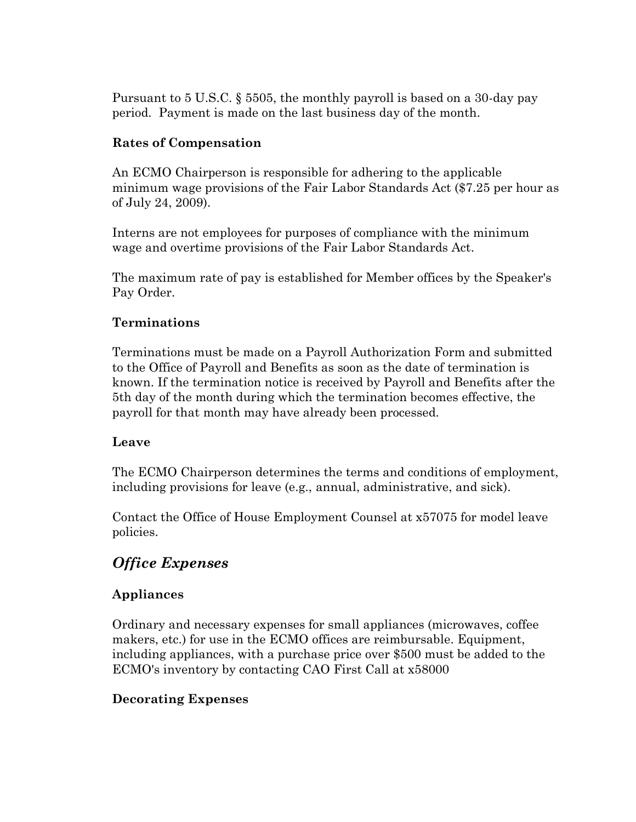Pursuant to 5 U.S.C. § 5505, the monthly payroll is based on a 30-day pay period. Payment is made on the last business day of the month.

#### **Rates of Compensation**

An ECMO Chairperson is responsible for adhering to the applicable minimum wage provisions of the Fair Labor Standards Act (\$7.25 per hour as of July 24, 2009).

Interns are not employees for purposes of compliance with the minimum wage and overtime provisions of the Fair Labor Standards Act.

The maximum rate of pay is established for Member offices by the Speaker's Pay Order.

#### **Terminations**

Terminations must be made on a Payroll Authorization Form and submitted to the Office of Payroll and Benefits as soon as the date of termination is known. If the termination notice is received by Payroll and Benefits after the 5th day of the month during which the termination becomes effective, the payroll for that month may have already been processed.

#### **Leave**

The ECMO Chairperson determines the terms and conditions of employment, including provisions for leave (e.g., annual, administrative, and sick).

Contact the Office of House Employment Counsel at x57075 for model leave policies.

# *Office Expenses*

#### **Appliances**

Ordinary and necessary expenses for small appliances (microwaves, coffee makers, etc.) for use in the ECMO offices are reimbursable. Equipment, including appliances, with a purchase price over \$500 must be added to the ECMO's inventory by contacting CAO First Call at x58000

#### **Decorating Expenses**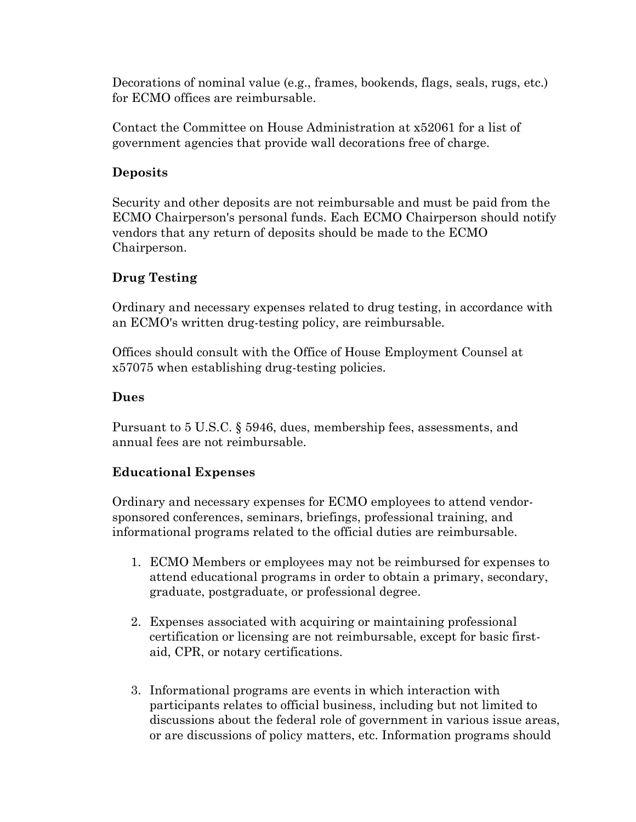Decorations of nominal value (e.g., frames, bookends, flags, seals, rugs, etc.) for ECMO offices are reimbursable.

Contact the Committee on House Administration at x52061 for a list of government agencies that provide wall decorations free of charge.

#### **Deposits**

Security and other deposits are not reimbursable and must be paid from the ECMO Chairperson's personal funds. Each ECMO Chairperson should notify vendors that any return of deposits should be made to the ECMO Chairperson.

#### **Drug Testing**

Ordinary and necessary expenses related to drug testing, in accordance with an ECMO's written drug-testing policy, are reimbursable.

Offices should consult with the Office of House Employment Counsel at x57075 when establishing drug-testing policies.

#### **Dues**

Pursuant to 5 U.S.C. § 5946, dues, membership fees, assessments, and annual fees are not reimbursable.

#### **Educational Expenses**

Ordinary and necessary expenses for ECMO employees to attend vendorsponsored conferences, seminars, briefings, professional training, and informational programs related to the official duties are reimbursable.

- 1. ECMO Members or employees may not be reimbursed for expenses to attend educational programs in order to obtain a primary, secondary, graduate, postgraduate, or professional degree.
- 2. Expenses associated with acquiring or maintaining professional certification or licensing are not reimbursable, except for basic firstaid, CPR, or notary certifications.
- 3. Informational programs are events in which interaction with participants relates to official business, including but not limited to discussions about the federal role of government in various issue areas, or are discussions of policy matters, etc. Information programs should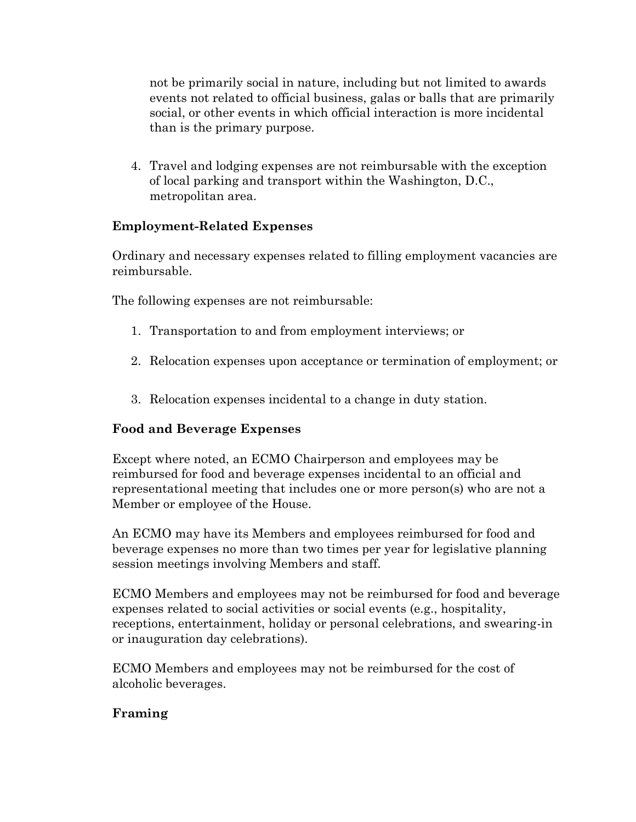not be primarily social in nature, including but not limited to awards events not related to official business, galas or balls that are primarily social, or other events in which official interaction is more incidental than is the primary purpose.

4. Travel and lodging expenses are not reimbursable with the exception of local parking and transport within the Washington, D.C., metropolitan area.

#### **Employment-Related Expenses**

Ordinary and necessary expenses related to filling employment vacancies are reimbursable.

The following expenses are not reimbursable:

- 1. Transportation to and from employment interviews; or
- 2. Relocation expenses upon acceptance or termination of employment; or
- 3. Relocation expenses incidental to a change in duty station.

#### **Food and Beverage Expenses**

Except where noted, an ECMO Chairperson and employees may be reimbursed for food and beverage expenses incidental to an official and representational meeting that includes one or more person(s) who are not a Member or employee of the House.

An ECMO may have its Members and employees reimbursed for food and beverage expenses no more than two times per year for legislative planning session meetings involving Members and staff.

ECMO Members and employees may not be reimbursed for food and beverage expenses related to social activities or social events (e.g., hospitality, receptions, entertainment, holiday or personal celebrations, and swearing-in or inauguration day celebrations).

ECMO Members and employees may not be reimbursed for the cost of alcoholic beverages.

#### **Framing**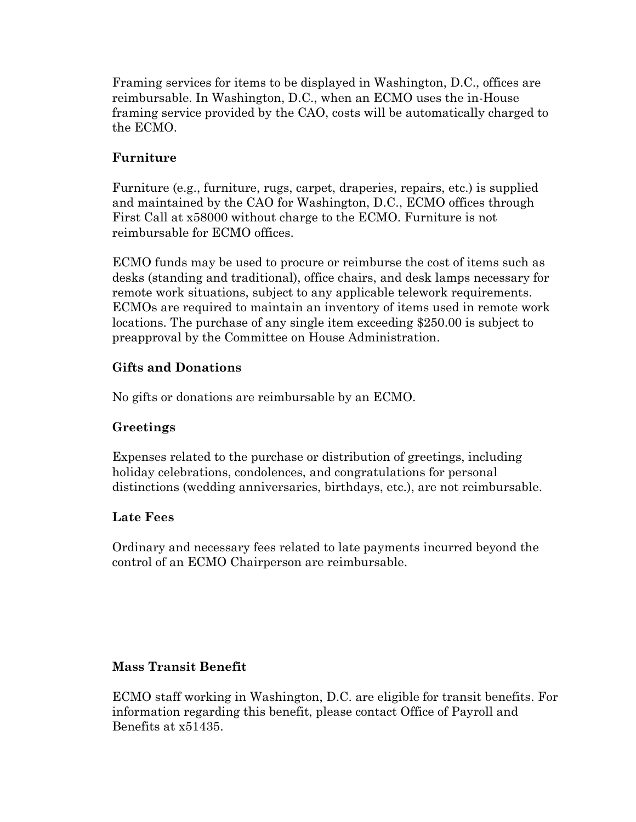Framing services for items to be displayed in Washington, D.C., offices are reimbursable. In Washington, D.C., when an ECMO uses the in-House framing service provided by the CAO, costs will be automatically charged to the ECMO.

#### **Furniture**

Furniture (e.g., furniture, rugs, carpet, draperies, repairs, etc.) is supplied and maintained by the CAO for Washington, D.C., ECMO offices through First Call at x58000 without charge to the ECMO. Furniture is not reimbursable for ECMO offices.

ECMO funds may be used to procure or reimburse the cost of items such as desks (standing and traditional), office chairs, and desk lamps necessary for remote work situations, subject to any applicable telework requirements. ECMOs are required to maintain an inventory of items used in remote work locations. The purchase of any single item exceeding \$250.00 is subject to preapproval by the Committee on House Administration.

#### **Gifts and Donations**

No gifts or donations are reimbursable by an ECMO.

#### **Greetings**

Expenses related to the purchase or distribution of greetings, including holiday celebrations, condolences, and congratulations for personal distinctions (wedding anniversaries, birthdays, etc.), are not reimbursable.

#### **Late Fees**

Ordinary and necessary fees related to late payments incurred beyond the control of an ECMO Chairperson are reimbursable.

# **Mass Transit Benefit**

ECMO staff working in Washington, D.C. are eligible for transit benefits. For information regarding this benefit, please contact Office of Payroll and Benefits at x51435.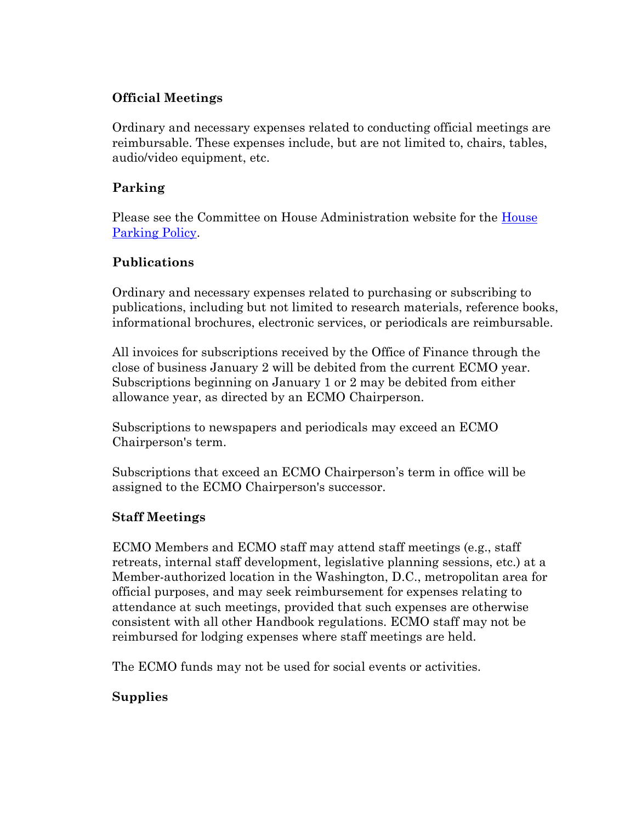#### **Official Meetings**

Ordinary and necessary expenses related to conducting official meetings are reimbursable. These expenses include, but are not limited to, chairs, tables, audio/video equipment, etc.

#### **Parking**

Please see the Committee on House Administration website for the [House](http://cha.house.gov/handbooks/parking-policy)  [Parking Policy.](http://cha.house.gov/handbooks/parking-policy)

#### **Publications**

Ordinary and necessary expenses related to purchasing or subscribing to publications, including but not limited to research materials, reference books, informational brochures, electronic services, or periodicals are reimbursable.

All invoices for subscriptions received by the Office of Finance through the close of business January 2 will be debited from the current ECMO year. Subscriptions beginning on January 1 or 2 may be debited from either allowance year, as directed by an ECMO Chairperson.

Subscriptions to newspapers and periodicals may exceed an ECMO Chairperson's term.

Subscriptions that exceed an ECMO Chairperson's term in office will be assigned to the ECMO Chairperson's successor.

#### **Staff Meetings**

ECMO Members and ECMO staff may attend staff meetings (e.g., staff retreats, internal staff development, legislative planning sessions, etc.) at a Member-authorized location in the Washington, D.C., metropolitan area for official purposes, and may seek reimbursement for expenses relating to attendance at such meetings, provided that such expenses are otherwise consistent with all other Handbook regulations. ECMO staff may not be reimbursed for lodging expenses where staff meetings are held.

The ECMO funds may not be used for social events or activities.

# **Supplies**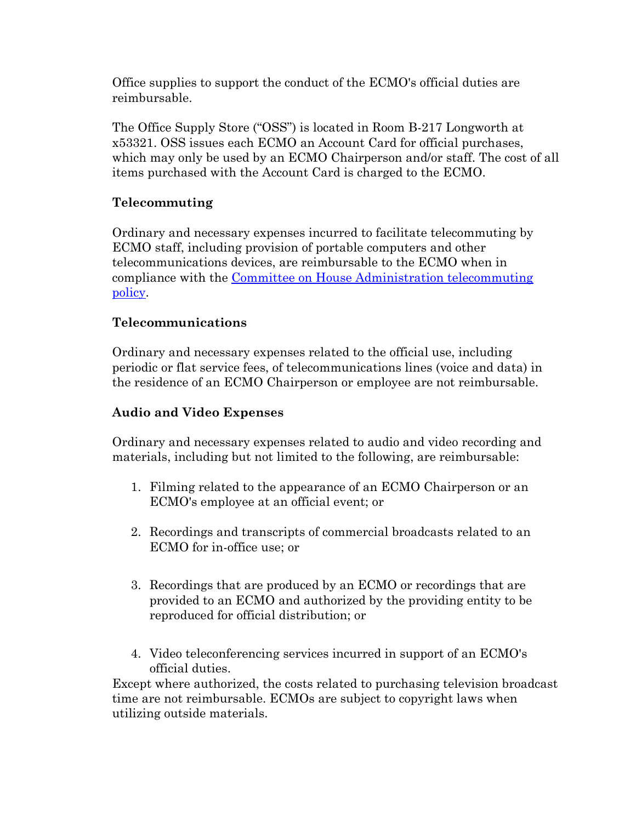Office supplies to support the conduct of the ECMO's official duties are reimbursable.

The Office Supply Store ("OSS") is located in Room B-217 Longworth at x53321. OSS issues each ECMO an Account Card for official purchases, which may only be used by an ECMO Chairperson and/or staff. The cost of all items purchased with the Account Card is charged to the ECMO.

### **Telecommuting**

Ordinary and necessary expenses incurred to facilitate telecommuting by ECMO staff, including provision of portable computers and other telecommunications devices, are reimbursable to the ECMO when in compliance with the [Committee on House Administration telecommuting](http://cha.house.gov/handbooks/telecommuting-resources)  [policy.](http://cha.house.gov/handbooks/telecommuting-resources)

#### **Telecommunications**

Ordinary and necessary expenses related to the official use, including periodic or flat service fees, of telecommunications lines (voice and data) in the residence of an ECMO Chairperson or employee are not reimbursable.

#### **Audio and Video Expenses**

Ordinary and necessary expenses related to audio and video recording and materials, including but not limited to the following, are reimbursable:

- 1. Filming related to the appearance of an ECMO Chairperson or an ECMO's employee at an official event; or
- 2. Recordings and transcripts of commercial broadcasts related to an ECMO for in-office use; or
- 3. Recordings that are produced by an ECMO or recordings that are provided to an ECMO and authorized by the providing entity to be reproduced for official distribution; or
- 4. Video teleconferencing services incurred in support of an ECMO's official duties.

Except where authorized, the costs related to purchasing television broadcast time are not reimbursable. ECMOs are subject to copyright laws when utilizing outside materials.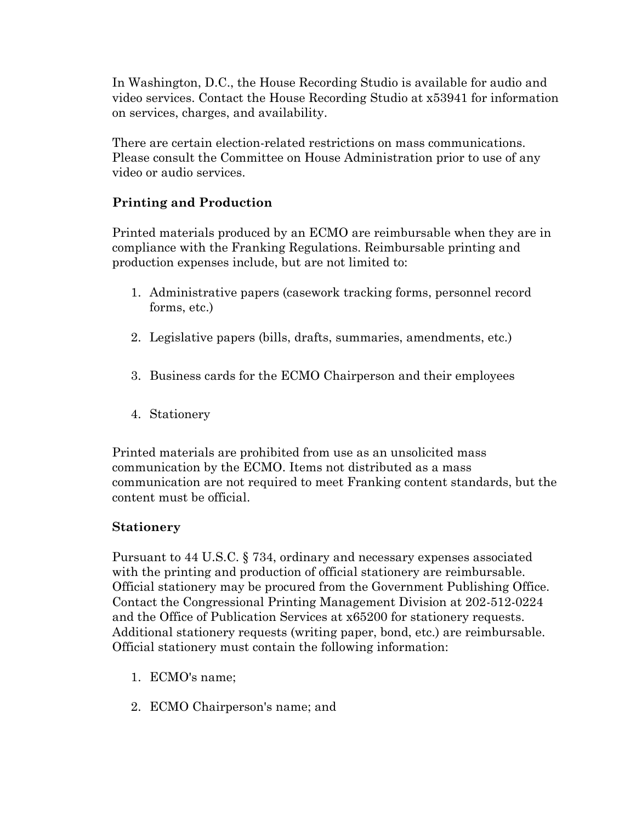In Washington, D.C., the House Recording Studio is available for audio and video services. Contact the House Recording Studio at x53941 for information on services, charges, and availability.

There are certain election-related restrictions on mass communications. Please consult the Committee on House Administration prior to use of any video or audio services[.](http://cha.house.gov/handbooks/members-congressional-handbook#top)

#### **Printing and Production**

Printed materials produced by an ECMO are reimbursable when they are in compliance with the Franking Regulations. Reimbursable printing and production expenses include, but are not limited to:

- 1. Administrative papers (casework tracking forms, personnel record forms, etc.)
- 2. Legislative papers (bills, drafts, summaries, amendments, etc.)
- 3. Business cards for the ECMO Chairperson and their employees
- 4. Stationery

Printed materials are prohibited from use as an unsolicited mass communication by the ECMO. Items not distributed as a mass communication are not required to meet Franking content standards, but the content must be official.

#### **Stationery**

Pursuant to 44 U.S.C. § 734, ordinary and necessary expenses associated with the printing and production of official stationery are reimbursable. Official stationery may be procured from the Government Publishing Office. Contact the Congressional Printing Management Division at 202-512-0224 and the Office of Publication Services at x65200 for stationery requests. Additional stationery requests (writing paper, bond, etc.) are reimbursable. Official stationery must contain the following information:

- 1. ECMO's name;
- 2. ECMO Chairperson's name; and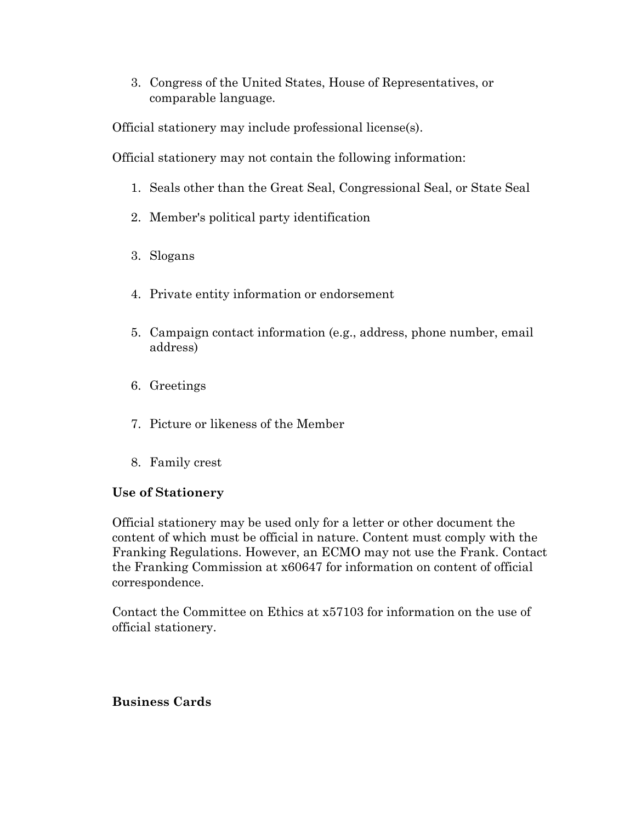3. Congress of the United States, House of Representatives, or comparable language.

Official stationery may include professional license(s).

Official stationery may not contain the following information:

- 1. Seals other than the Great Seal, Congressional Seal, or State Seal
- 2. Member's political party identification
- 3. Slogans
- 4. Private entity information or endorsement
- 5. Campaign contact information (e.g., address, phone number, email address)
- 6. Greetings
- 7. Picture or likeness of the Member
- 8. Family crest

#### **Use of Stationery**

Official stationery may be used only for a letter or other document the content of which must be official in nature. Content must comply with the Franking Regulations. However, an ECMO may not use the Frank. Contact the Franking Commission at x60647 for information on content of official correspondence.

Contact the Committee on Ethics at x57103 for information on the use of official stationery.

#### **Business Cards**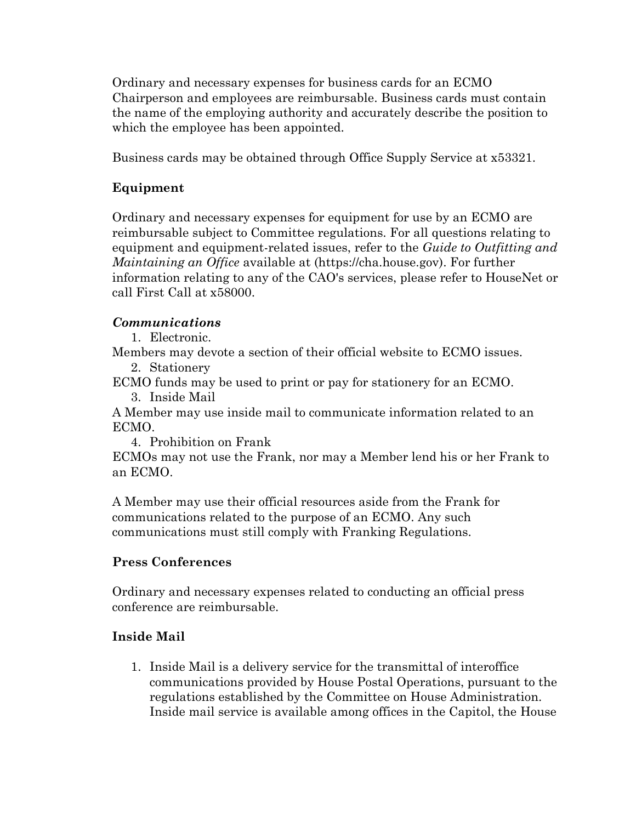Ordinary and necessary expenses for business cards for an ECMO Chairperson and employees are reimbursable. Business cards must contain the name of the employing authority and accurately describe the position to which the employee has been appointed.

Business cards may be obtained through Office Supply Service at x53321.

#### **Equipment**

Ordinary and necessary expenses for equipment for use by an ECMO are reimbursable subject to Committee regulations. For all questions relating to equipment and equipment-related issues, refer to the *Guide to Outfitting and Maintaining an Office* available at (https://cha.house.gov). For further information relating to any of the CAO's services, please refer to HouseNet or call First Call at x58000.

#### *Communications*

1. Electronic.

Members may devote a section of their official website to ECMO issues.

2. Stationery

ECMO funds may be used to print or pay for stationery for an ECMO.

3. Inside Mail

A Member may use inside mail to communicate information related to an ECMO.

4. Prohibition on Frank

ECMOs may not use the Frank, nor may a Member lend his or her Frank to an ECMO.

A Member may use their official resources aside from the Frank for communications related to the purpose of an ECMO. Any such communications must still comply with Franking Regulations.

#### **Press Conferences**

Ordinary and necessary expenses related to conducting an official press conference are reimbursable.

#### **Inside Mail**

1. Inside Mail is a delivery service for the transmittal of interoffice communications provided by House Postal Operations, pursuant to the regulations established by the Committee on House Administration. Inside mail service is available among offices in the Capitol, the House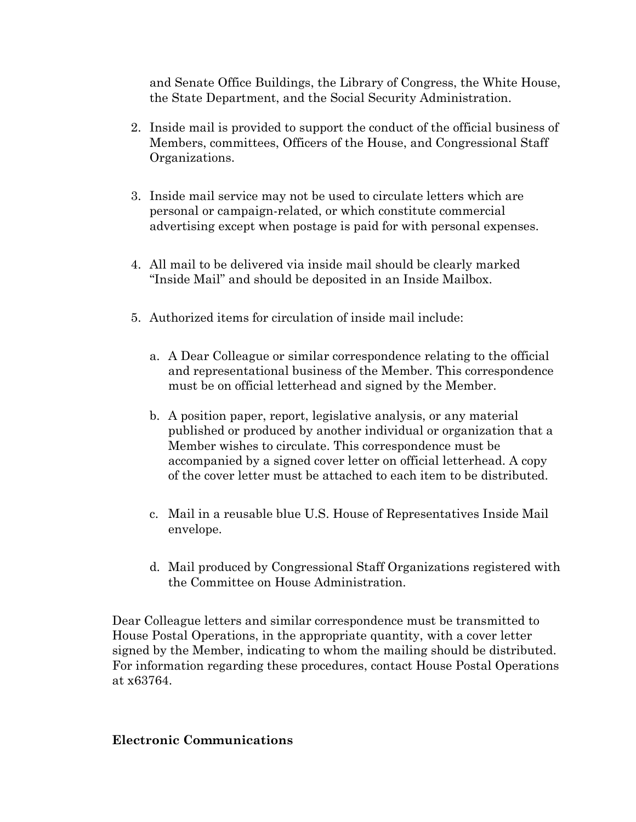and Senate Office Buildings, the Library of Congress, the White House, the State Department, and the Social Security Administration.

- 2. Inside mail is provided to support the conduct of the official business of Members, committees, Officers of the House, and Congressional Staff Organizations.
- 3. Inside mail service may not be used to circulate letters which are personal or campaign-related, or which constitute commercial advertising except when postage is paid for with personal expenses.
- 4. All mail to be delivered via inside mail should be clearly marked "Inside Mail" and should be deposited in an Inside Mailbox.
- 5. Authorized items for circulation of inside mail include:
	- a. A Dear Colleague or similar correspondence relating to the official and representational business of the Member. This correspondence must be on official letterhead and signed by the Member.
	- b. A position paper, report, legislative analysis, or any material published or produced by another individual or organization that a Member wishes to circulate. This correspondence must be accompanied by a signed cover letter on official letterhead. A copy of the cover letter must be attached to each item to be distributed.
	- c. Mail in a reusable blue U.S. House of Representatives Inside Mail envelope.
	- d. Mail produced by Congressional Staff Organizations registered with the Committee on House Administration.

Dear Colleague letters and similar correspondence must be transmitted to House Postal Operations, in the appropriate quantity, with a cover letter signed by the Member, indicating to whom the mailing should be distributed. For information regarding these procedures, contact House Postal Operations at x63764.

#### **Electronic Communications**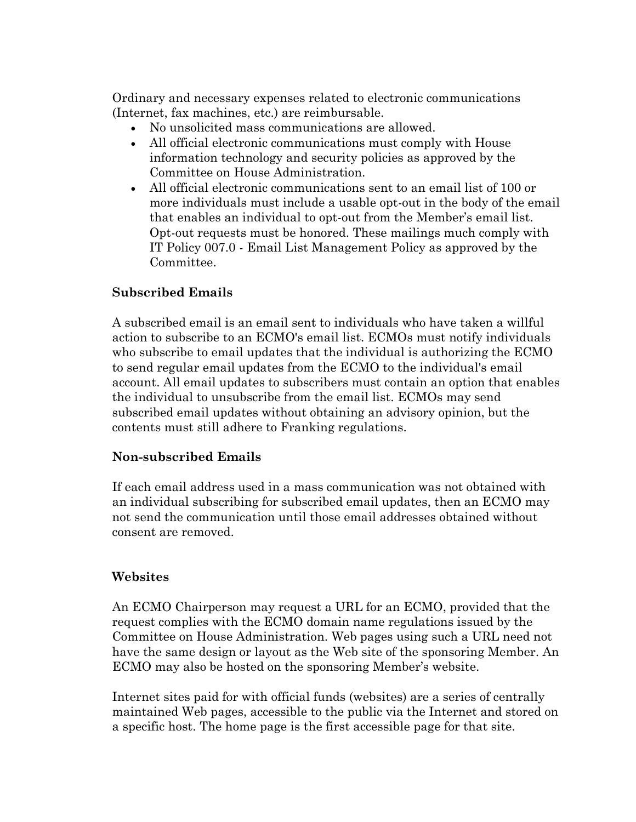Ordinary and necessary expenses related to electronic communications (Internet, fax machines, etc.) are reimbursable.

- No unsolicited mass communications are allowed.
- All official electronic communications must comply with House information technology and security policies as approved by the Committee on House Administration.
- All official electronic communications sent to an email list of 100 or more individuals must include a usable opt-out in the body of the email that enables an individual to opt-out from the Member's email list. Opt-out requests must be honored. These mailings much comply with IT Policy 007.0 - Email List Management Policy as approved by the Committee.

#### **Subscribed Emails**

A subscribed email is an email sent to individuals who have taken a willful action to subscribe to an ECMO's email list. ECMOs must notify individuals who subscribe to email updates that the individual is authorizing the ECMO to send regular email updates from the ECMO to the individual's email account. All email updates to subscribers must contain an option that enables the individual to unsubscribe from the email list. ECMOs may send subscribed email updates without obtaining an advisory opinion, but the contents must still adhere to Franking regulations.

#### **Non-subscribed Emails**

If each email address used in a mass communication was not obtained with an individual subscribing for subscribed email updates, then an ECMO may not send the communication until those email addresses obtained without consent are removed.

#### **Websites**

An ECMO Chairperson may request a URL for an ECMO, provided that the request complies with the ECMO domain name regulations issued by the Committee on House Administration. Web pages using such a URL need not have the same design or layout as the Web site of the sponsoring Member. An ECMO may also be hosted on the sponsoring Member's website.

Internet sites paid for with official funds (websites) are a series of centrally maintained Web pages, accessible to the public via the Internet and stored on a specific host. The home page is the first accessible page for that site.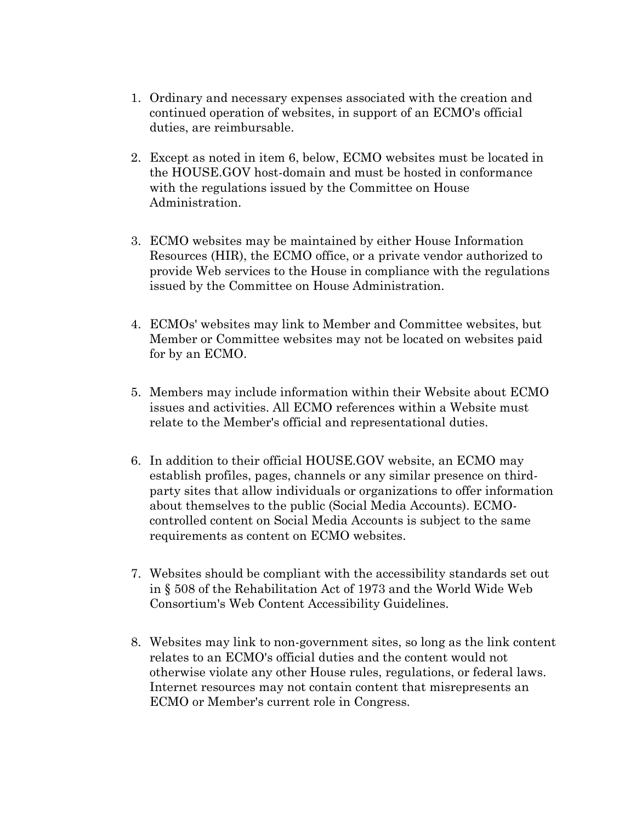- 1. Ordinary and necessary expenses associated with the creation and continued operation of websites, in support of an ECMO's official duties, are reimbursable.
- 2. Except as noted in item 6, below, ECMO websites must be located in the HOUSE.GOV host-domain and must be hosted in conformance with the regulations issued by the Committee on House Administration.
- 3. ECMO websites may be maintained by either House Information Resources (HIR), the ECMO office, or a private vendor authorized to provide Web services to the House in compliance with the regulations issued by the Committee on House Administration.
- 4. ECMOs' websites may link to Member and Committee websites, but Member or Committee websites may not be located on websites paid for by an ECMO.
- 5. Members may include information within their Website about ECMO issues and activities. All ECMO references within a Website must relate to the Member's official and representational duties.
- 6. In addition to their official HOUSE.GOV website, an ECMO may establish profiles, pages, channels or any similar presence on thirdparty sites that allow individuals or organizations to offer information about themselves to the public (Social Media Accounts). ECMOcontrolled content on Social Media Accounts is subject to the same requirements as content on ECMO websites.
- 7. Websites should be compliant with the accessibility standards set out in § 508 of the Rehabilitation Act of 1973 and the World Wide Web Consortium's Web Content Accessibility Guidelines.
- 8. Websites may link to non-government sites, so long as the link content relates to an ECMO's official duties and the content would not otherwise violate any other House rules, regulations, or federal laws. Internet resources may not contain content that misrepresents an ECMO or Member's current role in Congress.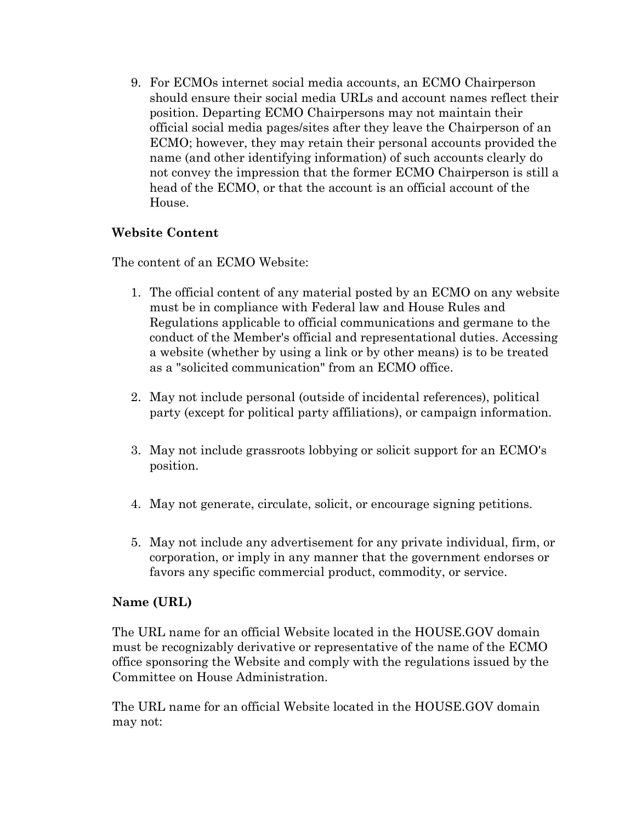9. For ECMOs internet social media accounts, an ECMO Chairperson should ensure their social media URLs and account names reflect their position. Departing ECMO Chairpersons may not maintain their official social media pages/sites after they leave the Chairperson of an ECMO; however, they may retain their personal accounts provided the name (and other identifying information) of such accounts clearly do not convey the impression that the former ECMO Chairperson is still a head of the ECMO, or that the account is an official account of the House.

#### **Website Content**

The content of an ECMO Website:

- 1. The official content of any material posted by an ECMO on any website must be in compliance with Federal law and House Rules and Regulations applicable to official communications and germane to the conduct of the Member's official and representational duties. Accessing a website (whether by using a link or by other means) is to be treated as a "solicited communication" from an ECMO office.
- 2. May not include personal (outside of incidental references), political party (except for political party affiliations), or campaign information.
- 3. May not include grassroots lobbying or solicit support for an ECMO's position.
- 4. May not generate, circulate, solicit, or encourage signing petitions.
- 5. May not include any advertisement for any private individual, firm, or corporation, or imply in any manner that the government endorses or favors any specific commercial product, commodity, or service.

#### **Name (URL)**

The URL name for an official Website located in the HOUSE.GOV domain must be recognizably derivative or representative of the name of the ECMO office sponsoring the Website and comply with the regulations issued by the Committee on House Administration.

The URL name for an official Website located in the HOUSE.GOV domain may not: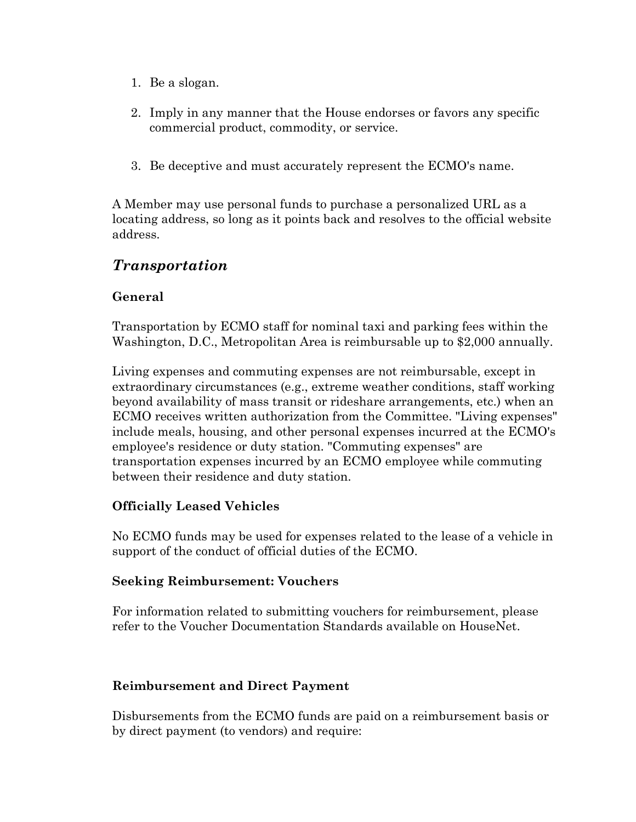- 1. Be a slogan.
- 2. Imply in any manner that the House endorses or favors any specific commercial product, commodity, or service.
- 3. Be deceptive and must accurately represent the ECMO's name.

A Member may use personal funds to purchase a personalized URL as a locating address, so long as it points back and resolves to the official website address.

# *Transportation*

#### **General**

Transportation by ECMO staff for nominal taxi and parking fees within the Washington, D.C., Metropolitan Area is reimbursable up to \$2,000 annually.

Living expenses and commuting expenses are not reimbursable, except in extraordinary circumstances (e.g., extreme weather conditions, staff working beyond availability of mass transit or rideshare arrangements, etc.) when an ECMO receives written authorization from the Committee. "Living expenses" include meals, housing, and other personal expenses incurred at the ECMO's employee's residence or duty station. "Commuting expenses" are transportation expenses incurred by an ECMO employee while commuting between their residence and duty station.

#### **Officially Leased Vehicles**

No ECMO funds may be used for expenses related to the lease of a vehicle in support of the conduct of official duties of the ECMO.

#### **Seeking Reimbursement: Vouchers**

For information related to submitting vouchers for reimbursement, please refer to the Voucher Documentation Standards available on HouseNet.

#### **Reimbursement and Direct Payment**

Disbursements from the ECMO funds are paid on a reimbursement basis or by direct payment (to vendors) and require: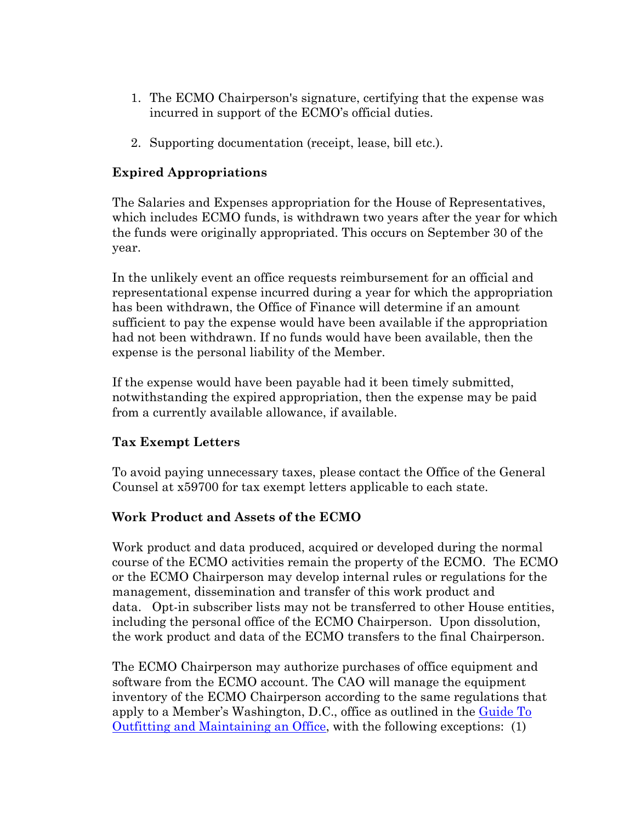- 1. The ECMO Chairperson's signature, certifying that the expense was incurred in support of the ECMO's official duties.
- 2. Supporting documentation (receipt, lease, bill etc.).

#### **Expired Appropriations**

The Salaries and Expenses appropriation for the House of Representatives, which includes ECMO funds, is withdrawn two years after the year for which the funds were originally appropriated. This occurs on September 30 of the year.

In the unlikely event an office requests reimbursement for an official and representational expense incurred during a year for which the appropriation has been withdrawn, the Office of Finance will determine if an amount sufficient to pay the expense would have been available if the appropriation had not been withdrawn. If no funds would have been available, then the expense is the personal liability of the Member.

If the expense would have been payable had it been timely submitted, notwithstanding the expired appropriation, then the expense may be paid from a currently available allowance, if available.

#### **Tax Exempt Letters**

To avoid paying unnecessary taxes, please contact the Office of the General Counsel at x59700 for tax exempt letters applicable to each state.

#### **Work Product and Assets of the ECMO**

Work product and data produced, acquired or developed during the normal course of the ECMO activities remain the property of the ECMO. The ECMO or the ECMO Chairperson may develop internal rules or regulations for the management, dissemination and transfer of this work product and data. Opt-in subscriber lists may not be transferred to other House entities, including the personal office of the ECMO Chairperson. Upon dissolution, the work product and data of the ECMO transfers to the final Chairperson.

The ECMO Chairperson may authorize purchases of office equipment and software from the ECMO account. The CAO will manage the equipment inventory of the ECMO Chairperson according to the same regulations that apply to a Member's Washington, D.C., office as outlined in the Guide To [Outfitting and Maintaining an Office,](http://cha.house.gov/handbooks/guide-outfitting-and-maintaining-office-us-house-representatives) with the following exceptions: (1)